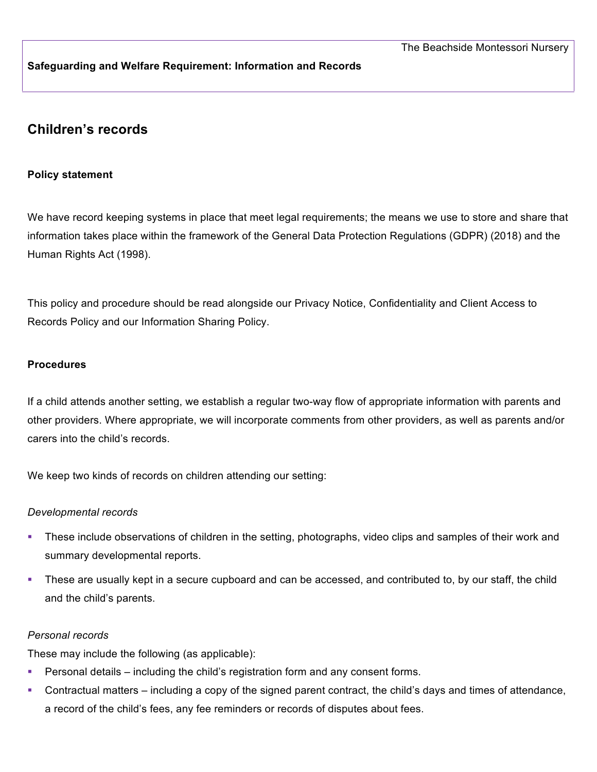# **Safeguarding and Welfare Requirement: Information and Records**

# **Children's records**

# **Policy statement**

We have record keeping systems in place that meet legal requirements; the means we use to store and share that information takes place within the framework of the General Data Protection Regulations (GDPR) (2018) and the Human Rights Act (1998).

This policy and procedure should be read alongside our Privacy Notice, Confidentiality and Client Access to Records Policy and our Information Sharing Policy.

# **Procedures**

If a child attends another setting, we establish a regular two-way flow of appropriate information with parents and other providers. Where appropriate, we will incorporate comments from other providers, as well as parents and/or carers into the child's records.

We keep two kinds of records on children attending our setting:

#### *Developmental records*

- § These include observations of children in the setting, photographs, video clips and samples of their work and summary developmental reports.
- These are usually kept in a secure cupboard and can be accessed, and contributed to, by our staff, the child and the child's parents.

#### *Personal records*

These may include the following (as applicable):

- **•** Personal details including the child's registration form and any consent forms.
- § Contractual matters including a copy of the signed parent contract, the child's days and times of attendance, a record of the child's fees, any fee reminders or records of disputes about fees.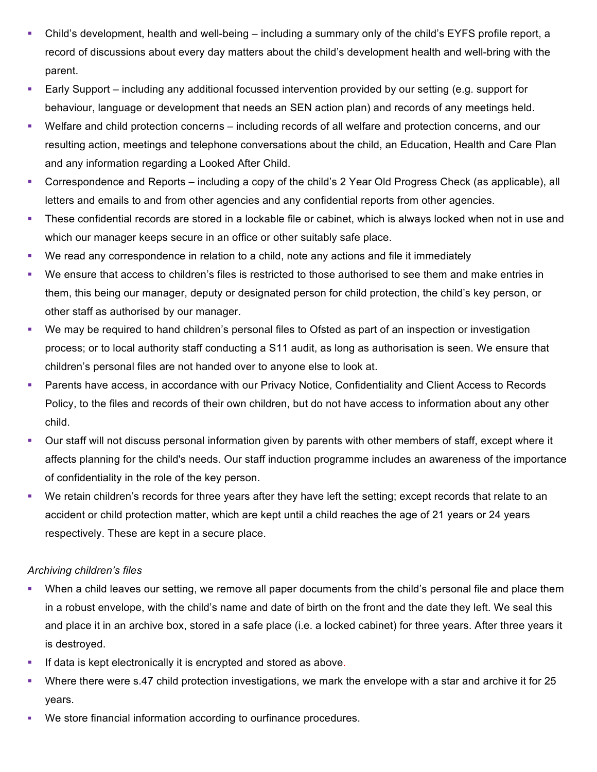- Child's development, health and well-being including a summary only of the child's EYFS profile report, a record of discussions about every day matters about the child's development health and well-bring with the parent.
- Early Support including any additional focussed intervention provided by our setting (e.g. support for behaviour, language or development that needs an SEN action plan) and records of any meetings held.
- § Welfare and child protection concerns including records of all welfare and protection concerns, and our resulting action, meetings and telephone conversations about the child, an Education, Health and Care Plan and any information regarding a Looked After Child.
- § Correspondence and Reports including a copy of the child's 2 Year Old Progress Check (as applicable), all letters and emails to and from other agencies and any confidential reports from other agencies.
- § These confidential records are stored in a lockable file or cabinet, which is always locked when not in use and which our manager keeps secure in an office or other suitably safe place.
- We read any correspondence in relation to a child, note any actions and file it immediately
- § We ensure that access to children's files is restricted to those authorised to see them and make entries in them, this being our manager, deputy or designated person for child protection, the child's key person, or other staff as authorised by our manager.
- We may be required to hand children's personal files to Ofsted as part of an inspection or investigation process; or to local authority staff conducting a S11 audit, as long as authorisation is seen. We ensure that children's personal files are not handed over to anyone else to look at.
- Parents have access, in accordance with our Privacy Notice, Confidentiality and Client Access to Records Policy, to the files and records of their own children, but do not have access to information about any other child.
- § Our staff will not discuss personal information given by parents with other members of staff, except where it affects planning for the child's needs. Our staff induction programme includes an awareness of the importance of confidentiality in the role of the key person.
- § We retain children's records for three years after they have left the setting; except records that relate to an accident or child protection matter, which are kept until a child reaches the age of 21 years or 24 years respectively. These are kept in a secure place.

# *Archiving children's files*

- When a child leaves our setting, we remove all paper documents from the child's personal file and place them in a robust envelope, with the child's name and date of birth on the front and the date they left. We seal this and place it in an archive box, stored in a safe place (i.e. a locked cabinet) for three years. After three years it is destroyed.
- **•** If data is kept electronically it is encrypted and stored as above.
- § Where there were s.47 child protection investigations, we mark the envelope with a star and archive it for 25 years.
- We store financial information according to ourfinance procedures.